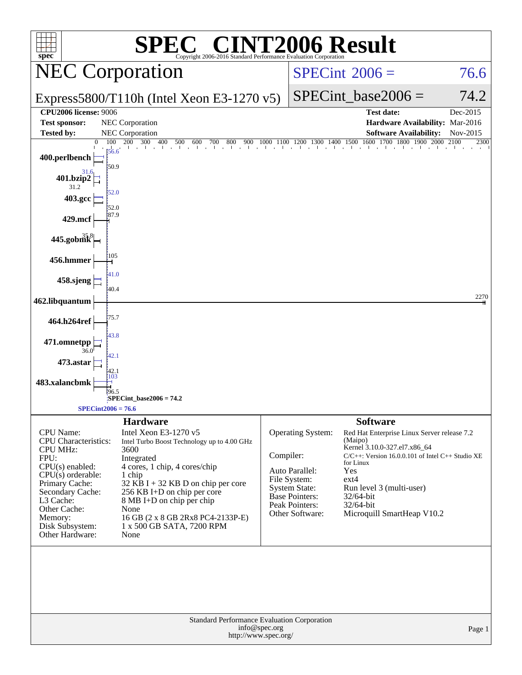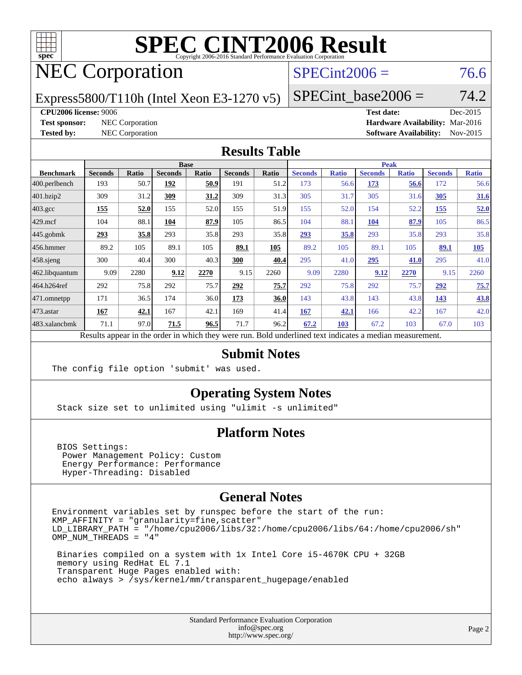

# **[SPEC CINT2006 Result](http://www.spec.org/auto/cpu2006/Docs/result-fields.html#SPECCINT2006Result)**

## NEC Corporation

### $SPECint2006 = 76.6$  $SPECint2006 = 76.6$

Express5800/T110h (Intel Xeon E3-1270 v5)

SPECint base2006 =  $74.2$ 

### **[CPU2006 license:](http://www.spec.org/auto/cpu2006/Docs/result-fields.html#CPU2006license)** 9006 **[Test date:](http://www.spec.org/auto/cpu2006/Docs/result-fields.html#Testdate)** Dec-2015

**[Test sponsor:](http://www.spec.org/auto/cpu2006/Docs/result-fields.html#Testsponsor)** NEC Corporation **[Hardware Availability:](http://www.spec.org/auto/cpu2006/Docs/result-fields.html#HardwareAvailability)** Mar-2016 **[Tested by:](http://www.spec.org/auto/cpu2006/Docs/result-fields.html#Testedby)** NEC Corporation **[Software Availability:](http://www.spec.org/auto/cpu2006/Docs/result-fields.html#SoftwareAvailability)** Nov-2015

### **[Results Table](http://www.spec.org/auto/cpu2006/Docs/result-fields.html#ResultsTable)**

|                  | <b>Base</b>                                                                                              |       |                |       |                |       |                | <b>Peak</b>  |                |              |                |              |  |
|------------------|----------------------------------------------------------------------------------------------------------|-------|----------------|-------|----------------|-------|----------------|--------------|----------------|--------------|----------------|--------------|--|
| <b>Benchmark</b> | <b>Seconds</b>                                                                                           | Ratio | <b>Seconds</b> | Ratio | <b>Seconds</b> | Ratio | <b>Seconds</b> | <b>Ratio</b> | <b>Seconds</b> | <b>Ratio</b> | <b>Seconds</b> | <b>Ratio</b> |  |
| 400.perlbench    | 193                                                                                                      | 50.7  | 192            | 50.9  | 191            | 51.2  | 173            | 56.6         | 173            | 56.6         | 172            | 56.6         |  |
| $401$ .bzip2     | 309                                                                                                      | 31.2  | 309            | 31.2  | 309            | 31.3  | 305            | 31.7         | 305            | 31.6         | 305            | 31.6         |  |
| $403.\text{gcc}$ | 155                                                                                                      | 52.0  | 155            | 52.0  | 155            | 51.9  | 155            | 52.0         | 154            | 52.2         | 155            | 52.0         |  |
| $429$ mcf        | 104                                                                                                      | 88.1  | 104            | 87.9  | 105            | 86.5  | 104            | 88.1         | 104            | 87.9         | 105            | 86.5         |  |
| $445$ .gobmk     | 293                                                                                                      | 35.8  | 293            | 35.8  | 293            | 35.8  | 293            | 35.8         | 293            | 35.8         | 293            | 35.8         |  |
| $456.$ hmmer     | 89.2                                                                                                     | 105   | 89.1           | 105   | 89.1           | 105   | 89.2           | 105          | 89.1           | 105          | 89.1           | 105          |  |
| $458$ .sjeng     | 300                                                                                                      | 40.4  | 300            | 40.3  | 300            | 40.4  | 295            | 41.0         | 295            | 41.0         | 295            | 41.0         |  |
| 462.libquantum   | 9.09                                                                                                     | 2280  | 9.12           | 2270  | 9.15           | 2260  | 9.09           | 2280         | 9.12           | 2270         | 9.15           | 2260         |  |
| 464.h264ref      | 292                                                                                                      | 75.8  | 292            | 75.7  | 292            | 75.7  | 292            | 75.8         | 292            | 75.7         | 292            | 75.7         |  |
| $ 471$ .omnetpp  | 171                                                                                                      | 36.5  | 174            | 36.0  | 173            | 36.0  | 143            | 43.8         | 143            | 43.8         | 143            | 43.8         |  |
| $473$ . astar    | 167                                                                                                      | 42.1  | 167            | 42.1  | 169            | 41.4  | 167            | 42.1         | 166            | 42.2         | 167            | 42.0         |  |
| 483.xalancbmk    | 71.1                                                                                                     | 97.0  | 71.5           | 96.5  | 71.7           | 96.2  | 67.2           | 103          | 67.2           | 103          | 67.0           | 103          |  |
|                  | Results appear in the order in which they were run. Bold underlined text indicates a median measurement. |       |                |       |                |       |                |              |                |              |                |              |  |

### **[Submit Notes](http://www.spec.org/auto/cpu2006/Docs/result-fields.html#SubmitNotes)**

The config file option 'submit' was used.

### **[Operating System Notes](http://www.spec.org/auto/cpu2006/Docs/result-fields.html#OperatingSystemNotes)**

Stack size set to unlimited using "ulimit -s unlimited"

### **[Platform Notes](http://www.spec.org/auto/cpu2006/Docs/result-fields.html#PlatformNotes)**

 BIOS Settings: Power Management Policy: Custom Energy Performance: Performance Hyper-Threading: Disabled

### **[General Notes](http://www.spec.org/auto/cpu2006/Docs/result-fields.html#GeneralNotes)**

Environment variables set by runspec before the start of the run: KMP\_AFFINITY = "granularity=fine,scatter" LD\_LIBRARY\_PATH = "/home/cpu2006/libs/32:/home/cpu2006/libs/64:/home/cpu2006/sh" OMP\_NUM\_THREADS = "4"

 Binaries compiled on a system with 1x Intel Core i5-4670K CPU + 32GB memory using RedHat EL 7.1 Transparent Huge Pages enabled with: echo always > /sys/kernel/mm/transparent\_hugepage/enabled

> Standard Performance Evaluation Corporation [info@spec.org](mailto:info@spec.org) <http://www.spec.org/>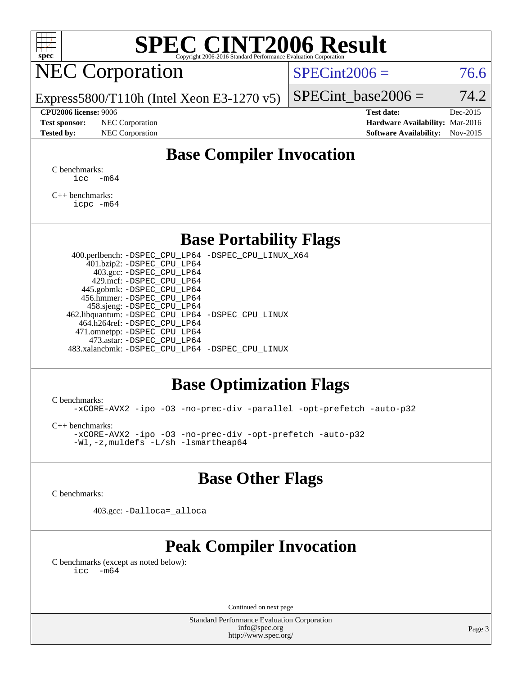

## **[SPEC CINT2006 Result](http://www.spec.org/auto/cpu2006/Docs/result-fields.html#SPECCINT2006Result)**

### NEC Corporation

 $SPECint2006 = 76.6$  $SPECint2006 = 76.6$ 

Express5800/T110h (Intel Xeon E3-1270 v5)

**[Tested by:](http://www.spec.org/auto/cpu2006/Docs/result-fields.html#Testedby)** NEC Corporation **[Software Availability:](http://www.spec.org/auto/cpu2006/Docs/result-fields.html#SoftwareAvailability)** Nov-2015

**[CPU2006 license:](http://www.spec.org/auto/cpu2006/Docs/result-fields.html#CPU2006license)** 9006 **[Test date:](http://www.spec.org/auto/cpu2006/Docs/result-fields.html#Testdate)** Dec-2015 **[Test sponsor:](http://www.spec.org/auto/cpu2006/Docs/result-fields.html#Testsponsor)** NEC Corporation **[Hardware Availability:](http://www.spec.org/auto/cpu2006/Docs/result-fields.html#HardwareAvailability)** Mar-2016

SPECint base2006 =  $74.2$ 

### **[Base Compiler Invocation](http://www.spec.org/auto/cpu2006/Docs/result-fields.html#BaseCompilerInvocation)**

[C benchmarks](http://www.spec.org/auto/cpu2006/Docs/result-fields.html#Cbenchmarks):  $\text{icc}$   $-\text{m64}$ 

[C++ benchmarks:](http://www.spec.org/auto/cpu2006/Docs/result-fields.html#CXXbenchmarks) [icpc -m64](http://www.spec.org/cpu2006/results/res2016q1/cpu2006-20160125-38824.flags.html#user_CXXbase_intel_icpc_64bit_fc66a5337ce925472a5c54ad6a0de310)

### **[Base Portability Flags](http://www.spec.org/auto/cpu2006/Docs/result-fields.html#BasePortabilityFlags)**

 400.perlbench: [-DSPEC\\_CPU\\_LP64](http://www.spec.org/cpu2006/results/res2016q1/cpu2006-20160125-38824.flags.html#b400.perlbench_basePORTABILITY_DSPEC_CPU_LP64) [-DSPEC\\_CPU\\_LINUX\\_X64](http://www.spec.org/cpu2006/results/res2016q1/cpu2006-20160125-38824.flags.html#b400.perlbench_baseCPORTABILITY_DSPEC_CPU_LINUX_X64) 401.bzip2: [-DSPEC\\_CPU\\_LP64](http://www.spec.org/cpu2006/results/res2016q1/cpu2006-20160125-38824.flags.html#suite_basePORTABILITY401_bzip2_DSPEC_CPU_LP64) 403.gcc: [-DSPEC\\_CPU\\_LP64](http://www.spec.org/cpu2006/results/res2016q1/cpu2006-20160125-38824.flags.html#suite_basePORTABILITY403_gcc_DSPEC_CPU_LP64) 429.mcf: [-DSPEC\\_CPU\\_LP64](http://www.spec.org/cpu2006/results/res2016q1/cpu2006-20160125-38824.flags.html#suite_basePORTABILITY429_mcf_DSPEC_CPU_LP64) 445.gobmk: [-DSPEC\\_CPU\\_LP64](http://www.spec.org/cpu2006/results/res2016q1/cpu2006-20160125-38824.flags.html#suite_basePORTABILITY445_gobmk_DSPEC_CPU_LP64) 456.hmmer: [-DSPEC\\_CPU\\_LP64](http://www.spec.org/cpu2006/results/res2016q1/cpu2006-20160125-38824.flags.html#suite_basePORTABILITY456_hmmer_DSPEC_CPU_LP64) 458.sjeng: [-DSPEC\\_CPU\\_LP64](http://www.spec.org/cpu2006/results/res2016q1/cpu2006-20160125-38824.flags.html#suite_basePORTABILITY458_sjeng_DSPEC_CPU_LP64) 462.libquantum: [-DSPEC\\_CPU\\_LP64](http://www.spec.org/cpu2006/results/res2016q1/cpu2006-20160125-38824.flags.html#suite_basePORTABILITY462_libquantum_DSPEC_CPU_LP64) [-DSPEC\\_CPU\\_LINUX](http://www.spec.org/cpu2006/results/res2016q1/cpu2006-20160125-38824.flags.html#b462.libquantum_baseCPORTABILITY_DSPEC_CPU_LINUX) 464.h264ref: [-DSPEC\\_CPU\\_LP64](http://www.spec.org/cpu2006/results/res2016q1/cpu2006-20160125-38824.flags.html#suite_basePORTABILITY464_h264ref_DSPEC_CPU_LP64) 471.omnetpp: [-DSPEC\\_CPU\\_LP64](http://www.spec.org/cpu2006/results/res2016q1/cpu2006-20160125-38824.flags.html#suite_basePORTABILITY471_omnetpp_DSPEC_CPU_LP64) 473.astar: [-DSPEC\\_CPU\\_LP64](http://www.spec.org/cpu2006/results/res2016q1/cpu2006-20160125-38824.flags.html#suite_basePORTABILITY473_astar_DSPEC_CPU_LP64) 483.xalancbmk: [-DSPEC\\_CPU\\_LP64](http://www.spec.org/cpu2006/results/res2016q1/cpu2006-20160125-38824.flags.html#suite_basePORTABILITY483_xalancbmk_DSPEC_CPU_LP64) [-DSPEC\\_CPU\\_LINUX](http://www.spec.org/cpu2006/results/res2016q1/cpu2006-20160125-38824.flags.html#b483.xalancbmk_baseCXXPORTABILITY_DSPEC_CPU_LINUX)

### **[Base Optimization Flags](http://www.spec.org/auto/cpu2006/Docs/result-fields.html#BaseOptimizationFlags)**

[C benchmarks](http://www.spec.org/auto/cpu2006/Docs/result-fields.html#Cbenchmarks):

[-xCORE-AVX2](http://www.spec.org/cpu2006/results/res2016q1/cpu2006-20160125-38824.flags.html#user_CCbase_f-xAVX2_5f5fc0cbe2c9f62c816d3e45806c70d7) [-ipo](http://www.spec.org/cpu2006/results/res2016q1/cpu2006-20160125-38824.flags.html#user_CCbase_f-ipo) [-O3](http://www.spec.org/cpu2006/results/res2016q1/cpu2006-20160125-38824.flags.html#user_CCbase_f-O3) [-no-prec-div](http://www.spec.org/cpu2006/results/res2016q1/cpu2006-20160125-38824.flags.html#user_CCbase_f-no-prec-div) [-parallel](http://www.spec.org/cpu2006/results/res2016q1/cpu2006-20160125-38824.flags.html#user_CCbase_f-parallel) [-opt-prefetch](http://www.spec.org/cpu2006/results/res2016q1/cpu2006-20160125-38824.flags.html#user_CCbase_f-opt-prefetch) [-auto-p32](http://www.spec.org/cpu2006/results/res2016q1/cpu2006-20160125-38824.flags.html#user_CCbase_f-auto-p32)

[C++ benchmarks:](http://www.spec.org/auto/cpu2006/Docs/result-fields.html#CXXbenchmarks)

[-xCORE-AVX2](http://www.spec.org/cpu2006/results/res2016q1/cpu2006-20160125-38824.flags.html#user_CXXbase_f-xAVX2_5f5fc0cbe2c9f62c816d3e45806c70d7) [-ipo](http://www.spec.org/cpu2006/results/res2016q1/cpu2006-20160125-38824.flags.html#user_CXXbase_f-ipo) [-O3](http://www.spec.org/cpu2006/results/res2016q1/cpu2006-20160125-38824.flags.html#user_CXXbase_f-O3) [-no-prec-div](http://www.spec.org/cpu2006/results/res2016q1/cpu2006-20160125-38824.flags.html#user_CXXbase_f-no-prec-div) [-opt-prefetch](http://www.spec.org/cpu2006/results/res2016q1/cpu2006-20160125-38824.flags.html#user_CXXbase_f-opt-prefetch) [-auto-p32](http://www.spec.org/cpu2006/results/res2016q1/cpu2006-20160125-38824.flags.html#user_CXXbase_f-auto-p32) [-Wl,-z,muldefs](http://www.spec.org/cpu2006/results/res2016q1/cpu2006-20160125-38824.flags.html#user_CXXbase_link_force_multiple1_74079c344b956b9658436fd1b6dd3a8a) [-L/sh -lsmartheap64](http://www.spec.org/cpu2006/results/res2016q1/cpu2006-20160125-38824.flags.html#user_CXXbase_SmartHeap64_ed4ef857ce90951921efb0d91eb88472)

### **[Base Other Flags](http://www.spec.org/auto/cpu2006/Docs/result-fields.html#BaseOtherFlags)**

[C benchmarks](http://www.spec.org/auto/cpu2006/Docs/result-fields.html#Cbenchmarks):

403.gcc: [-Dalloca=\\_alloca](http://www.spec.org/cpu2006/results/res2016q1/cpu2006-20160125-38824.flags.html#b403.gcc_baseEXTRA_CFLAGS_Dalloca_be3056838c12de2578596ca5467af7f3)

### **[Peak Compiler Invocation](http://www.spec.org/auto/cpu2006/Docs/result-fields.html#PeakCompilerInvocation)**

[C benchmarks \(except as noted below\)](http://www.spec.org/auto/cpu2006/Docs/result-fields.html#Cbenchmarksexceptasnotedbelow):  $\text{icc}$  -m64

Continued on next page

Standard Performance Evaluation Corporation [info@spec.org](mailto:info@spec.org) <http://www.spec.org/>

Page 3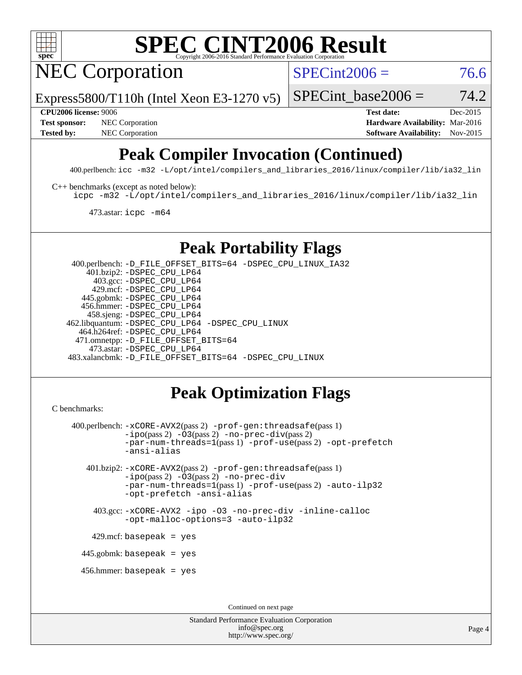

## **[SPEC CINT2006 Result](http://www.spec.org/auto/cpu2006/Docs/result-fields.html#SPECCINT2006Result)**

NEC Corporation

 $SPECint2006 = 76.6$  $SPECint2006 = 76.6$ 

Express5800/T110h (Intel Xeon E3-1270 v5)

SPECint base2006 =  $74.2$ 

**[CPU2006 license:](http://www.spec.org/auto/cpu2006/Docs/result-fields.html#CPU2006license)** 9006 **[Test date:](http://www.spec.org/auto/cpu2006/Docs/result-fields.html#Testdate)** Dec-2015 **[Test sponsor:](http://www.spec.org/auto/cpu2006/Docs/result-fields.html#Testsponsor)** NEC Corporation **NEC Corporation [Hardware Availability:](http://www.spec.org/auto/cpu2006/Docs/result-fields.html#HardwareAvailability)** Mar-2016 **[Tested by:](http://www.spec.org/auto/cpu2006/Docs/result-fields.html#Testedby)** NEC Corporation **[Software Availability:](http://www.spec.org/auto/cpu2006/Docs/result-fields.html#SoftwareAvailability)** Nov-2015

### **[Peak Compiler Invocation \(Continued\)](http://www.spec.org/auto/cpu2006/Docs/result-fields.html#PeakCompilerInvocation)**

400.perlbench: [icc -m32 -L/opt/intel/compilers\\_and\\_libraries\\_2016/linux/compiler/lib/ia32\\_lin](http://www.spec.org/cpu2006/results/res2016q1/cpu2006-20160125-38824.flags.html#user_peakCCLD400_perlbench_intel_icc_e10256ba5924b668798078a321b0cb3f)

[C++ benchmarks \(except as noted below\):](http://www.spec.org/auto/cpu2006/Docs/result-fields.html#CXXbenchmarksexceptasnotedbelow)

[icpc -m32 -L/opt/intel/compilers\\_and\\_libraries\\_2016/linux/compiler/lib/ia32\\_lin](http://www.spec.org/cpu2006/results/res2016q1/cpu2006-20160125-38824.flags.html#user_CXXpeak_intel_icpc_b4f50a394bdb4597aa5879c16bc3f5c5)

473.astar: [icpc -m64](http://www.spec.org/cpu2006/results/res2016q1/cpu2006-20160125-38824.flags.html#user_peakCXXLD473_astar_intel_icpc_64bit_fc66a5337ce925472a5c54ad6a0de310)

### **[Peak Portability Flags](http://www.spec.org/auto/cpu2006/Docs/result-fields.html#PeakPortabilityFlags)**

 400.perlbench: [-D\\_FILE\\_OFFSET\\_BITS=64](http://www.spec.org/cpu2006/results/res2016q1/cpu2006-20160125-38824.flags.html#user_peakPORTABILITY400_perlbench_file_offset_bits_64_438cf9856305ebd76870a2c6dc2689ab) [-DSPEC\\_CPU\\_LINUX\\_IA32](http://www.spec.org/cpu2006/results/res2016q1/cpu2006-20160125-38824.flags.html#b400.perlbench_peakCPORTABILITY_DSPEC_CPU_LINUX_IA32) 401.bzip2: [-DSPEC\\_CPU\\_LP64](http://www.spec.org/cpu2006/results/res2016q1/cpu2006-20160125-38824.flags.html#suite_peakPORTABILITY401_bzip2_DSPEC_CPU_LP64) 403.gcc: [-DSPEC\\_CPU\\_LP64](http://www.spec.org/cpu2006/results/res2016q1/cpu2006-20160125-38824.flags.html#suite_peakPORTABILITY403_gcc_DSPEC_CPU_LP64) 429.mcf: [-DSPEC\\_CPU\\_LP64](http://www.spec.org/cpu2006/results/res2016q1/cpu2006-20160125-38824.flags.html#suite_peakPORTABILITY429_mcf_DSPEC_CPU_LP64) 445.gobmk: [-DSPEC\\_CPU\\_LP64](http://www.spec.org/cpu2006/results/res2016q1/cpu2006-20160125-38824.flags.html#suite_peakPORTABILITY445_gobmk_DSPEC_CPU_LP64) 456.hmmer: [-DSPEC\\_CPU\\_LP64](http://www.spec.org/cpu2006/results/res2016q1/cpu2006-20160125-38824.flags.html#suite_peakPORTABILITY456_hmmer_DSPEC_CPU_LP64) 458.sjeng: [-DSPEC\\_CPU\\_LP64](http://www.spec.org/cpu2006/results/res2016q1/cpu2006-20160125-38824.flags.html#suite_peakPORTABILITY458_sjeng_DSPEC_CPU_LP64) 462.libquantum: [-DSPEC\\_CPU\\_LP64](http://www.spec.org/cpu2006/results/res2016q1/cpu2006-20160125-38824.flags.html#suite_peakPORTABILITY462_libquantum_DSPEC_CPU_LP64) [-DSPEC\\_CPU\\_LINUX](http://www.spec.org/cpu2006/results/res2016q1/cpu2006-20160125-38824.flags.html#b462.libquantum_peakCPORTABILITY_DSPEC_CPU_LINUX) 464.h264ref: [-DSPEC\\_CPU\\_LP64](http://www.spec.org/cpu2006/results/res2016q1/cpu2006-20160125-38824.flags.html#suite_peakPORTABILITY464_h264ref_DSPEC_CPU_LP64) 471.omnetpp: [-D\\_FILE\\_OFFSET\\_BITS=64](http://www.spec.org/cpu2006/results/res2016q1/cpu2006-20160125-38824.flags.html#user_peakPORTABILITY471_omnetpp_file_offset_bits_64_438cf9856305ebd76870a2c6dc2689ab) 473.astar: [-DSPEC\\_CPU\\_LP64](http://www.spec.org/cpu2006/results/res2016q1/cpu2006-20160125-38824.flags.html#suite_peakPORTABILITY473_astar_DSPEC_CPU_LP64) 483.xalancbmk: [-D\\_FILE\\_OFFSET\\_BITS=64](http://www.spec.org/cpu2006/results/res2016q1/cpu2006-20160125-38824.flags.html#user_peakPORTABILITY483_xalancbmk_file_offset_bits_64_438cf9856305ebd76870a2c6dc2689ab) [-DSPEC\\_CPU\\_LINUX](http://www.spec.org/cpu2006/results/res2016q1/cpu2006-20160125-38824.flags.html#b483.xalancbmk_peakCXXPORTABILITY_DSPEC_CPU_LINUX)

### **[Peak Optimization Flags](http://www.spec.org/auto/cpu2006/Docs/result-fields.html#PeakOptimizationFlags)**

```
C benchmarks:
```

```
 400.perlbench: -xCORE-AVX2(pass 2) -prof-gen:threadsafe(pass 1)
          -i\text{po}(pass 2) -\overline{0}3(pass 2)-no-prec-div(pass 2)
          -par-num-threads=1(pass 1) -prof-use(pass 2) -opt-prefetch
          -ansi-alias
  401.bzip2: -xCORE-AVX2(pass 2) -prof-gen:threadsafe(pass 1)
          -ipo(pass 2) -O3(pass 2) -no-prec-div
          -par-num-threads=1(pass 1) -prof-use(pass 2) -auto-ilp32
          -opt-prefetch -ansi-alias
    403.gcc: -xCORE-AVX2 -ipo -O3 -no-prec-div -inline-calloc
          -opt-malloc-options=3 -auto-ilp32
  429.mcf: basepeak = yes
445.gobmk: basepeak = yes
 456.hmmer: basepeak = yes
                                  Continued on next page
```
Standard Performance Evaluation Corporation [info@spec.org](mailto:info@spec.org) <http://www.spec.org/>